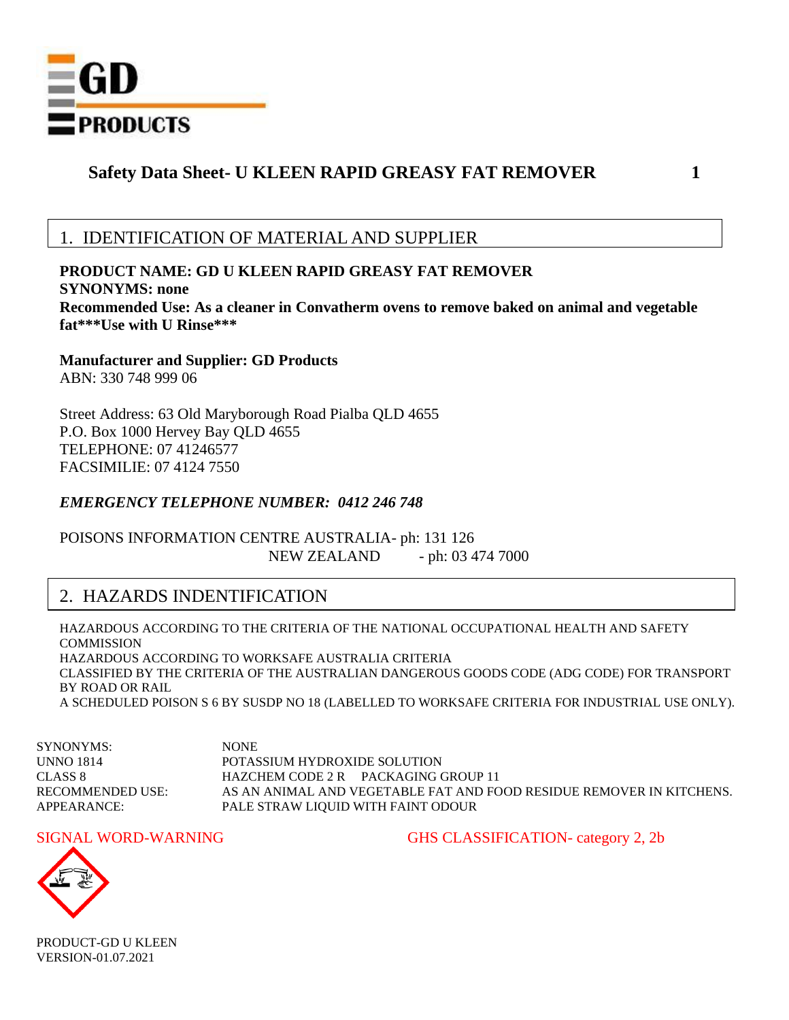

## 1. IDENTIFICATION OF MATERIAL AND SUPPLIER

**PRODUCT NAME: GD U KLEEN RAPID GREASY FAT REMOVER SYNONYMS: none Recommended Use: As a cleaner in Convatherm ovens to remove baked on animal and vegetable fat\*\*\*Use with U Rinse\*\*\***

**Manufacturer and Supplier: GD Products** ABN: 330 748 999 06

Street Address: 63 Old Maryborough Road Pialba QLD 4655 P.O. Box 1000 Hervey Bay QLD 4655 TELEPHONE: 07 41246577 FACSIMILIE: 07 4124 7550

### *EMERGENCY TELEPHONE NUMBER: 0412 246 748*

POISONS INFORMATION CENTRE AUSTRALIA- ph: 131 126 NEW ZEALAND - ph: 03 474 7000

## 2. HAZARDS INDENTIFICATION

HAZARDOUS ACCORDING TO THE CRITERIA OF THE NATIONAL OCCUPATIONAL HEALTH AND SAFETY **COMMISSION** HAZARDOUS ACCORDING TO WORKSAFE AUSTRALIA CRITERIA CLASSIFIED BY THE CRITERIA OF THE AUSTRALIAN DANGEROUS GOODS CODE (ADG CODE) FOR TRANSPORT BY ROAD OR RAIL A SCHEDULED POISON S 6 BY SUSDP NO 18 (LABELLED TO WORKSAFE CRITERIA FOR INDUSTRIAL USE ONLY).

SYNONYMS: NONE UNNO 1814 POTASSIUM HYDROXIDE SOLUTION CLASS 8 HAZCHEM CODE 2 R PACKAGING GROUP 11 RECOMMENDED USE: AS AN ANIMAL AND VEGETABLE FAT AND FOOD RESIDUE REMOVER IN KITCHENS. APPEARANCE: PALE STRAW LIQUID WITH FAINT ODOUR

SIGNAL WORD-WARNING GHS CLASSIFICATION- category 2, 2b

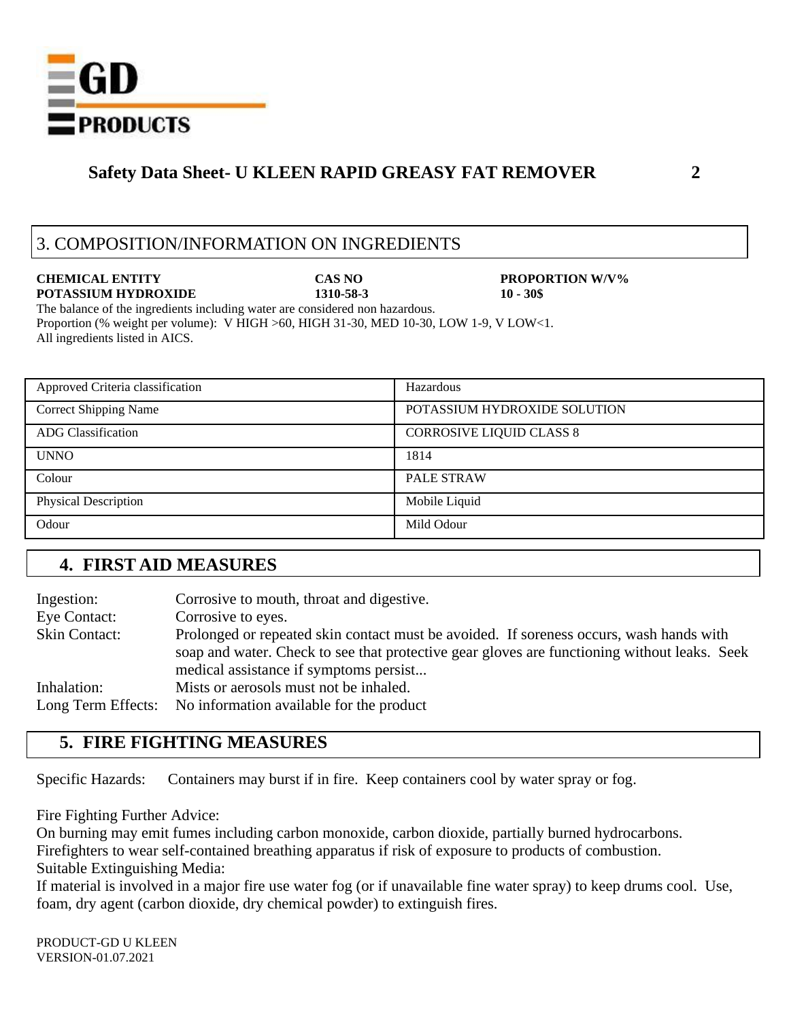

## 3. COMPOSITION/INFORMATION ON INGREDIENTS

**CHEMICAL ENTITY CAS NO PROPORTION W/V% POTASSIUM HYDROXIDE 1310-58-3 10 - 30\$**

The balance of the ingredients including water are considered non hazardous. Proportion (% weight per volume): V HIGH >60, HIGH 31-30, MED 10-30, LOW 1-9, V LOW<1. All ingredients listed in AICS.

| Approved Criteria classification | Hazardous                       |
|----------------------------------|---------------------------------|
| <b>Correct Shipping Name</b>     | POTASSIUM HYDROXIDE SOLUTION    |
| <b>ADG</b> Classification        | <b>CORROSIVE LIQUID CLASS 8</b> |
| <b>UNNO</b>                      | 1814                            |
| Colour                           | PALE STRAW                      |
| <b>Physical Description</b>      | Mobile Liquid                   |
| Odour                            | Mild Odour                      |

## **4. FIRST AID MEASURES**

| Ingestion:           | Corrosive to mouth, throat and digestive.                                                    |  |
|----------------------|----------------------------------------------------------------------------------------------|--|
| Eye Contact:         | Corrosive to eyes.                                                                           |  |
| <b>Skin Contact:</b> | Prolonged or repeated skin contact must be avoided. If soreness occurs, wash hands with      |  |
|                      | soap and water. Check to see that protective gear gloves are functioning without leaks. Seek |  |
|                      | medical assistance if symptoms persist                                                       |  |
| Inhalation:          | Mists or aerosols must not be inhaled.                                                       |  |
| Long Term Effects:   | No information available for the product                                                     |  |

## **5. FIRE FIGHTING MEASURES**

Specific Hazards: Containers may burst if in fire. Keep containers cool by water spray or fog.

Fire Fighting Further Advice:

On burning may emit fumes including carbon monoxide, carbon dioxide, partially burned hydrocarbons.

Firefighters to wear self-contained breathing apparatus if risk of exposure to products of combustion.

Suitable Extinguishing Media:

If material is involved in a major fire use water fog (or if unavailable fine water spray) to keep drums cool. Use, foam, dry agent (carbon dioxide, dry chemical powder) to extinguish fires.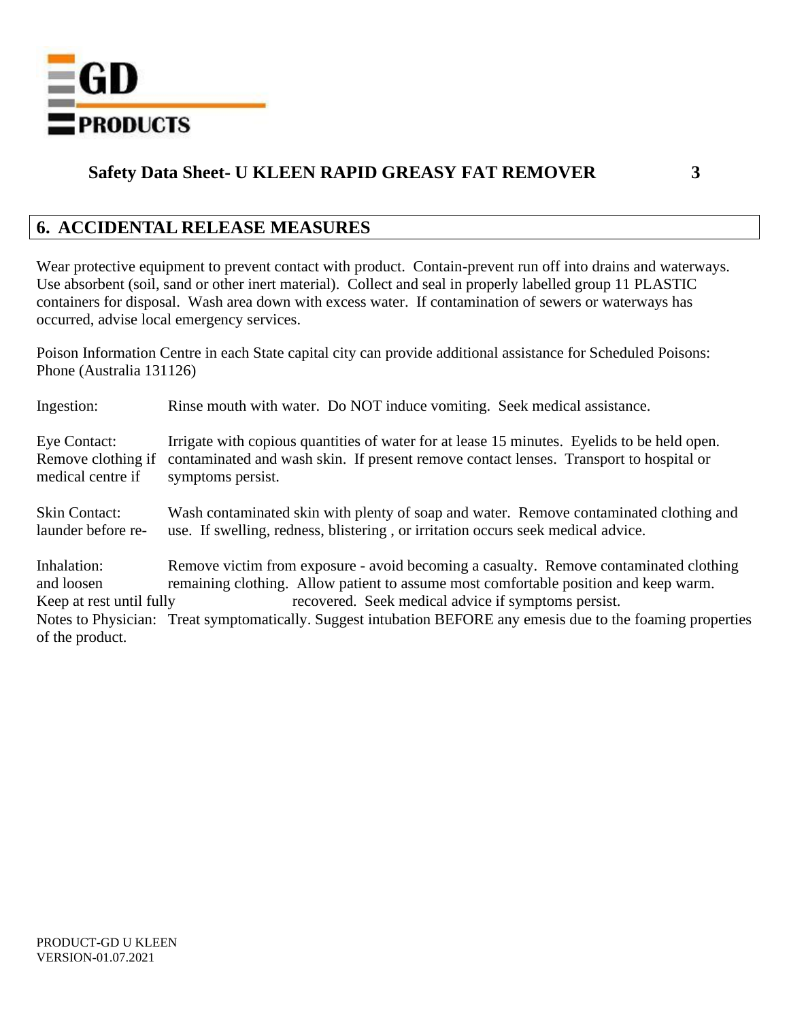

## **6. ACCIDENTAL RELEASE MEASURES**

Wear protective equipment to prevent contact with product. Contain-prevent run off into drains and waterways. Use absorbent (soil, sand or other inert material). Collect and seal in properly labelled group 11 PLASTIC containers for disposal. Wash area down with excess water. If contamination of sewers or waterways has occurred, advise local emergency services.

Poison Information Centre in each State capital city can provide additional assistance for Scheduled Poisons: Phone (Australia 131126)

| Ingestion:               | Rinse mouth with water. Do NOT induce vomiting. Seek medical assistance.                                      |
|--------------------------|---------------------------------------------------------------------------------------------------------------|
| Eye Contact:             | Irrigate with copious quantities of water for at lease 15 minutes. Eyelids to be held open.                   |
| Remove clothing if       | contaminated and wash skin. If present remove contact lenses. Transport to hospital or                        |
| medical centre if        | symptoms persist.                                                                                             |
| <b>Skin Contact:</b>     | Wash contaminated skin with plenty of soap and water. Remove contaminated clothing and                        |
| launder before re-       | use. If swelling, redness, blistering, or irritation occurs seek medical advice.                              |
| Inhalation:              | Remove victim from exposure - avoid becoming a casualty. Remove contaminated clothing                         |
| and loosen               | remaining clothing. Allow patient to assume most comfortable position and keep warm.                          |
| Keep at rest until fully | recovered. Seek medical advice if symptoms persist.                                                           |
| of the product.          | Notes to Physician: Treat symptomatically. Suggest intubation BEFORE any emesis due to the foaming properties |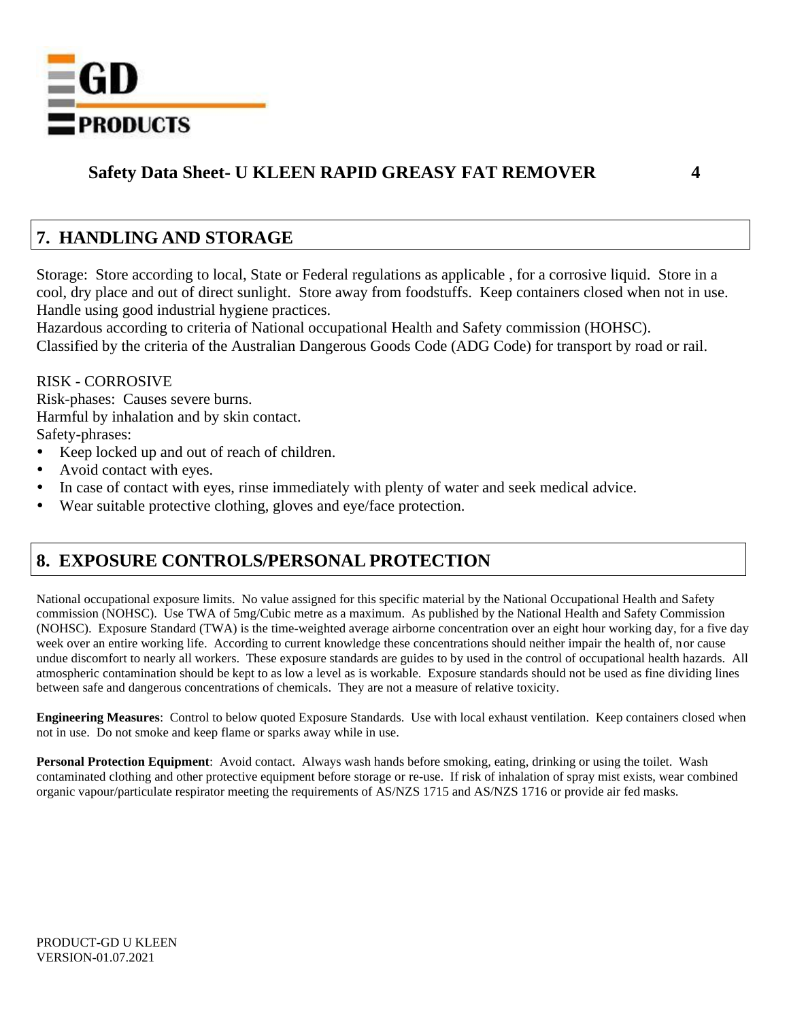

## **7. HANDLING AND STORAGE**

Storage: Store according to local, State or Federal regulations as applicable , for a corrosive liquid. Store in a cool, dry place and out of direct sunlight. Store away from foodstuffs. Keep containers closed when not in use. Handle using good industrial hygiene practices.

Hazardous according to criteria of National occupational Health and Safety commission (HOHSC). Classified by the criteria of the Australian Dangerous Goods Code (ADG Code) for transport by road or rail.

### RISK - CORROSIVE

Risk-phases: Causes severe burns. Harmful by inhalation and by skin contact. Safety-phrases:

- Keep locked up and out of reach of children.
- Avoid contact with eyes.
- In case of contact with eyes, rinse immediately with plenty of water and seek medical advice.
- Wear suitable protective clothing, gloves and eye/face protection.

## **8. EXPOSURE CONTROLS/PERSONAL PROTECTION**

National occupational exposure limits. No value assigned for this specific material by the National Occupational Health and Safety commission (NOHSC). Use TWA of 5mg/Cubic metre as a maximum. As published by the National Health and Safety Commission (NOHSC). Exposure Standard (TWA) is the time-weighted average airborne concentration over an eight hour working day, for a five day week over an entire working life. According to current knowledge these concentrations should neither impair the health of, nor cause undue discomfort to nearly all workers. These exposure standards are guides to by used in the control of occupational health hazards. All atmospheric contamination should be kept to as low a level as is workable. Exposure standards should not be used as fine dividing lines between safe and dangerous concentrations of chemicals. They are not a measure of relative toxicity.

**Engineering Measures**: Control to below quoted Exposure Standards. Use with local exhaust ventilation. Keep containers closed when not in use. Do not smoke and keep flame or sparks away while in use.

**Personal Protection Equipment**: Avoid contact. Always wash hands before smoking, eating, drinking or using the toilet. Wash contaminated clothing and other protective equipment before storage or re-use. If risk of inhalation of spray mist exists, wear combined organic vapour/particulate respirator meeting the requirements of AS/NZS 1715 and AS/NZS 1716 or provide air fed masks.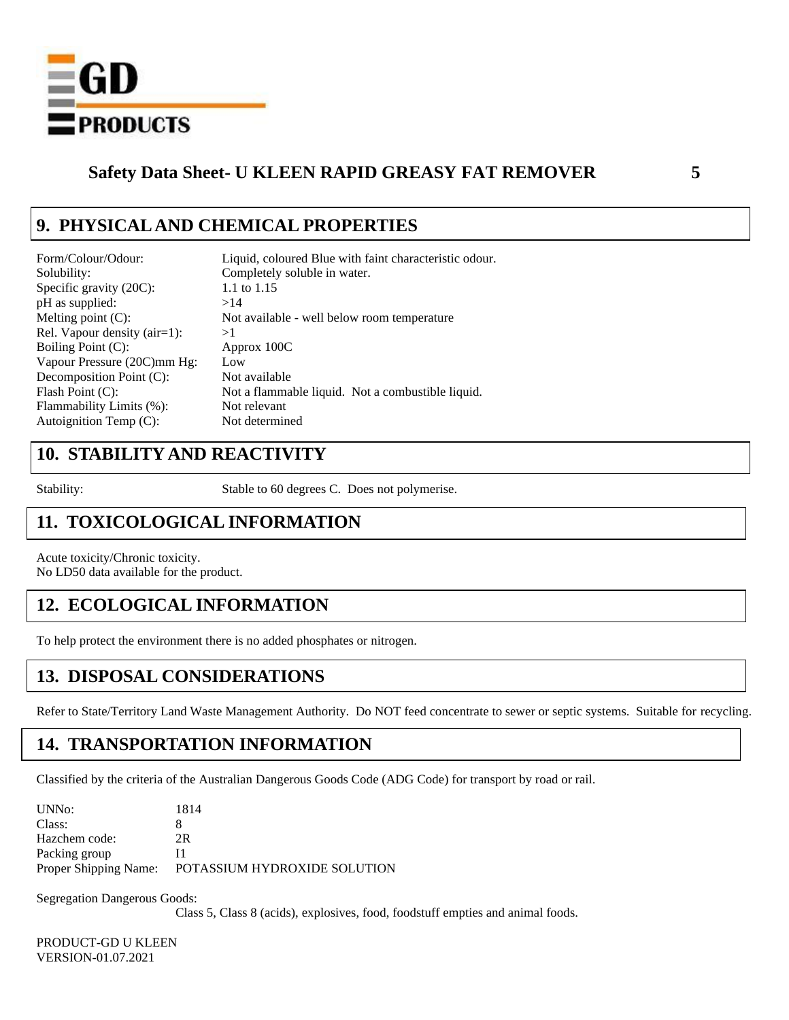

## **9. PHYSICAL AND CHEMICAL PROPERTIES**

| Form/Colour/Odour:           | Liquid, coloured Blue with faint characteristic odour. |
|------------------------------|--------------------------------------------------------|
| Solubility:                  | Completely soluble in water.                           |
| Specific gravity $(20C)$ :   | 1.1 to 1.15                                            |
| pH as supplied:              | >14                                                    |
| Melting point $(C)$ :        | Not available - well below room temperature            |
| Rel. Vapour density (air=1): | >1                                                     |
| Boiling Point (C):           | Approx 100C                                            |
| Vapour Pressure (20C)mm Hg:  | Low                                                    |
| Decomposition Point (C):     | Not available                                          |
| Flash Point $(C)$ :          | Not a flammable liquid. Not a combustible liquid.      |
| Flammability Limits (%):     | Not relevant                                           |
| Autoignition Temp $(C)$ :    | Not determined                                         |
|                              |                                                        |

## **10. STABILITY AND REACTIVITY**

Stability: Stable to 60 degrees C. Does not polymerise.

## **11. TOXICOLOGICAL INFORMATION**

Acute toxicity/Chronic toxicity. No LD50 data available for the product.

## **12. ECOLOGICAL INFORMATION**

To help protect the environment there is no added phosphates or nitrogen.

## **13. DISPOSAL CONSIDERATIONS**

Refer to State/Territory Land Waste Management Authority. Do NOT feed concentrate to sewer or septic systems. Suitable for recycling.

## **14. TRANSPORTATION INFORMATION**

Classified by the criteria of the Australian Dangerous Goods Code (ADG Code) for transport by road or rail.

| UNN <sub>0</sub> :    | 1814                         |
|-----------------------|------------------------------|
| Class:                |                              |
| Hazchem code:         | 2R                           |
| Packing group         | и                            |
| Proper Shipping Name: | POTASSIUM HYDROXIDE SOLUTION |
|                       |                              |

Segregation Dangerous Goods:

Class 5, Class 8 (acids), explosives, food, foodstuff empties and animal foods.